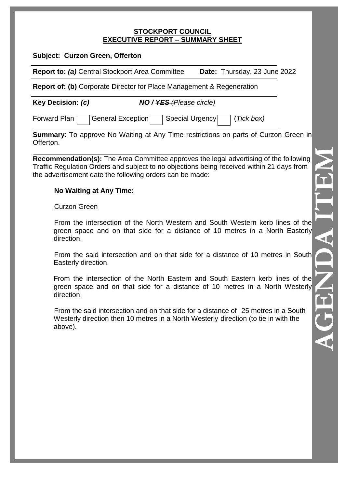#### **STOCKPORT COUNCIL EXECUTIVE REPORT – SUMMARY SHEET**

| <b>Subject: Curzon Green, Offerton</b> |  |  |  |
|----------------------------------------|--|--|--|
|----------------------------------------|--|--|--|

**Report to:** *(a)* Central Stockport Area Committee **Date:** Thursday, 23 June 2022

**Report of: (b)** Corporate Director for Place Management & Regeneration

**Key Decision:** *(c) NO / YES (Please circle)*

Forward Plan General Exception Special Urgency (*Tick box*)

**Summary:** To approve No Waiting at Any Time restrictions on parts of Curzon Green in Offerton.

**Recommendation(s):** The Area Committee approves the legal advertising of the following Traffic Regulation Orders and subject to no objections being received within 21 days from the advertisement date the following orders can be made:

# **No Waiting at Any Time:**

### Curzon Green

 From the intersection of the North Western and South Western kerb lines of the green space and on that side for a distance of 10 metres in a North Easterly direction.

 From the said intersection and on that side for a distance of 10 metres in South Easterly direction.

From the intersection of the North Eastern and South Eastern kerb lines of the green space and on that side for a distance of 10 metres in a North Westerly direction.

From the said intersection and on that side for a distance of 25 metres in a South Westerly direction then 10 metres in a North Westerly direction (to tie in with the above).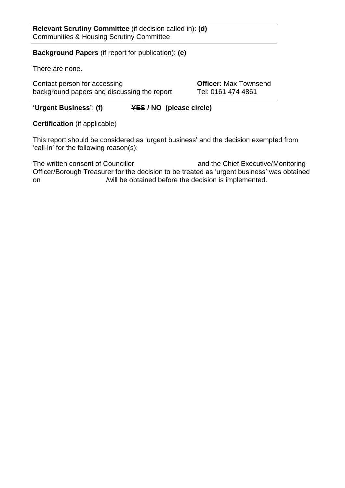### **Background Papers** (if report for publication): **(e)**

There are none.

Contact person for accessing **Officer:** Max Townsend background papers and discussing the report Tel: 0161 474 4861

# **'Urgent Business'**: **(f) YES / NO (please circle)**

**Certification** (if applicable)

This report should be considered as 'urgent business' and the decision exempted from 'call-in' for the following reason(s):

The written consent of Councillor and the Chief Executive/Monitoring Officer/Borough Treasurer for the decision to be treated as 'urgent business' was obtained on /will be obtained before the decision is implemented.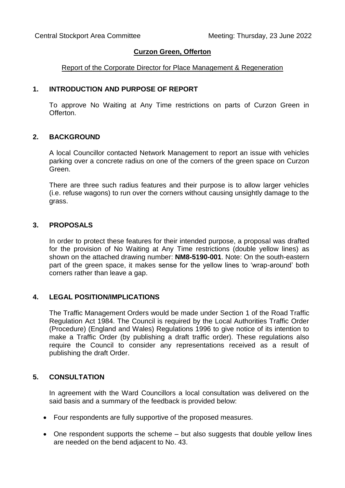### **Curzon Green, Offerton**

### Report of the Corporate Director for Place Management & Regeneration

### **1. INTRODUCTION AND PURPOSE OF REPORT**

To approve No Waiting at Any Time restrictions on parts of Curzon Green in Offerton.

### **2. BACKGROUND**

A local Councillor contacted Network Management to report an issue with vehicles parking over a concrete radius on one of the corners of the green space on Curzon Green.

There are three such radius features and their purpose is to allow larger vehicles (i.e. refuse wagons) to run over the corners without causing unsightly damage to the grass.

### **3. PROPOSALS**

In order to protect these features for their intended purpose, a proposal was drafted for the provision of No Waiting at Any Time restrictions (double yellow lines) as shown on the attached drawing number: **NM8-5190-001**. Note: On the south-eastern part of the green space, it makes sense for the yellow lines to 'wrap-around' both corners rather than leave a gap.

### **4. LEGAL POSITION/IMPLICATIONS**

The Traffic Management Orders would be made under Section 1 of the Road Traffic Regulation Act 1984. The Council is required by the Local Authorities Traffic Order (Procedure) (England and Wales) Regulations 1996 to give notice of its intention to make a Traffic Order (by publishing a draft traffic order). These regulations also require the Council to consider any representations received as a result of publishing the draft Order.

## **5. CONSULTATION**

In agreement with the Ward Councillors a local consultation was delivered on the said basis and a summary of the feedback is provided below:

- Four respondents are fully supportive of the proposed measures.
- One respondent supports the scheme but also suggests that double yellow lines are needed on the bend adjacent to No. 43.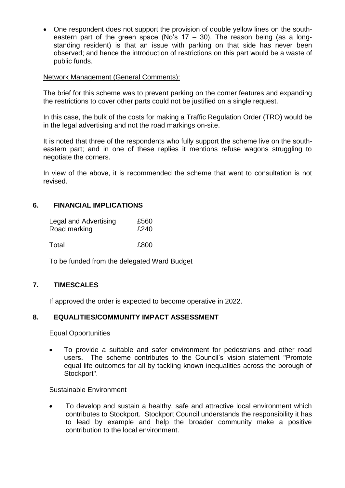One respondent does not support the provision of double yellow lines on the southeastern part of the green space (No's  $17 - 30$ ). The reason being (as a longstanding resident) is that an issue with parking on that side has never been observed; and hence the introduction of restrictions on this part would be a waste of public funds.

### Network Management (General Comments):

The brief for this scheme was to prevent parking on the corner features and expanding the restrictions to cover other parts could not be justified on a single request.

In this case, the bulk of the costs for making a Traffic Regulation Order (TRO) would be in the legal advertising and not the road markings on-site.

It is noted that three of the respondents who fully support the scheme live on the southeastern part; and in one of these replies it mentions refuse wagons struggling to negotiate the corners.

In view of the above, it is recommended the scheme that went to consultation is not revised.

## **6. FINANCIAL IMPLICATIONS**

| Legal and Advertising | £560 |
|-----------------------|------|
| Road marking          | £240 |

Total **E800** 

To be funded from the delegated Ward Budget

## **7. TIMESCALES**

If approved the order is expected to become operative in 2022.

### **8. EQUALITIES/COMMUNITY IMPACT ASSESSMENT**

Equal Opportunities

 To provide a suitable and safer environment for pedestrians and other road users. The scheme contributes to the Council's vision statement "Promote equal life outcomes for all by tackling known inequalities across the borough of Stockport".

### Sustainable Environment

 To develop and sustain a healthy, safe and attractive local environment which contributes to Stockport. Stockport Council understands the responsibility it has to lead by example and help the broader community make a positive contribution to the local environment.